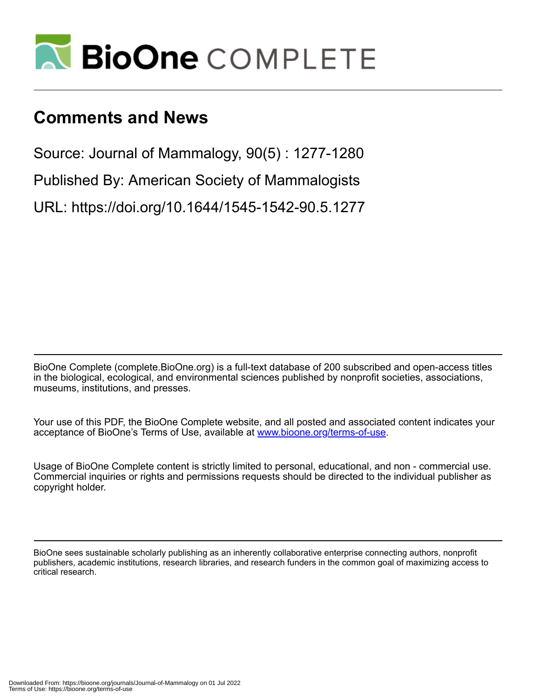

# **Comments and News**

Source: Journal of Mammalogy, 90(5) : 1277-1280

Published By: American Society of Mammalogists

URL: https://doi.org/10.1644/1545-1542-90.5.1277

BioOne Complete (complete.BioOne.org) is a full-text database of 200 subscribed and open-access titles in the biological, ecological, and environmental sciences published by nonprofit societies, associations, museums, institutions, and presses.

Your use of this PDF, the BioOne Complete website, and all posted and associated content indicates your acceptance of BioOne's Terms of Use, available at www.bioone.org/terms-of-use.

Usage of BioOne Complete content is strictly limited to personal, educational, and non - commercial use. Commercial inquiries or rights and permissions requests should be directed to the individual publisher as copyright holder.

BioOne sees sustainable scholarly publishing as an inherently collaborative enterprise connecting authors, nonprofit publishers, academic institutions, research libraries, and research funders in the common goal of maximizing access to critical research.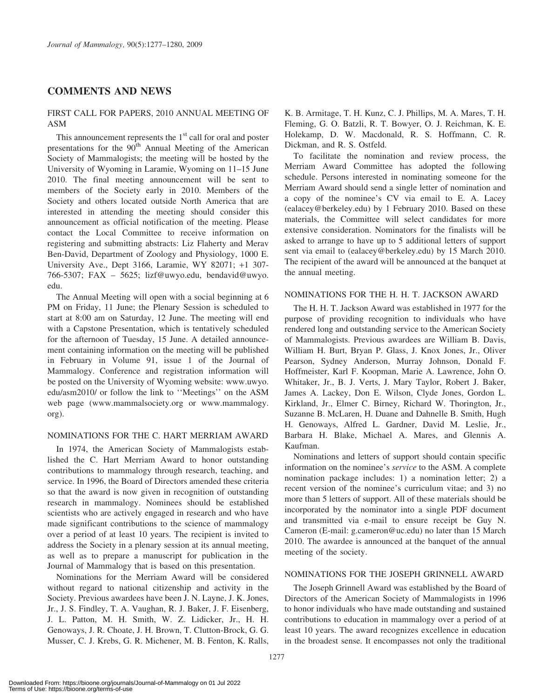## COMMENTS AND NEWS

## FIRST CALL FOR PAPERS, 2010 ANNUAL MEETING OF ASM

This announcement represents the  $1<sup>st</sup>$  call for oral and poster presentations for the 90<sup>th</sup> Annual Meeting of the American Society of Mammalogists; the meeting will be hosted by the University of Wyoming in Laramie, Wyoming on 11–15 June 2010. The final meeting announcement will be sent to members of the Society early in 2010. Members of the Society and others located outside North America that are interested in attending the meeting should consider this announcement as official notification of the meeting. Please contact the Local Committee to receive information on registering and submitting abstracts: Liz Flaherty and Merav Ben-David, Department of Zoology and Physiology, 1000 E. University Ave., Dept 3166, Laramie, WY 82071; +1 307- 766-5307; FAX – 5625; lizf@uwyo.edu, bendavid@uwyo. edu.

The Annual Meeting will open with a social beginning at 6 PM on Friday, 11 June; the Plenary Session is scheduled to start at 8:00 am on Saturday, 12 June. The meeting will end with a Capstone Presentation, which is tentatively scheduled for the afternoon of Tuesday, 15 June. A detailed announcement containing information on the meeting will be published in February in Volume 91, issue 1 of the Journal of Mammalogy. Conference and registration information will be posted on the University of Wyoming website: www.uwyo. edu/asm2010/ or follow the link to ''Meetings'' on the ASM web page (www.mammalsociety.org or www.mammalogy. org).

#### NOMINATIONS FOR THE C. HART MERRIAM AWARD

In 1974, the American Society of Mammalogists established the C. Hart Merriam Award to honor outstanding contributions to mammalogy through research, teaching, and service. In 1996, the Board of Directors amended these criteria so that the award is now given in recognition of outstanding research in mammalogy. Nominees should be established scientists who are actively engaged in research and who have made significant contributions to the science of mammalogy over a period of at least 10 years. The recipient is invited to address the Society in a plenary session at its annual meeting, as well as to prepare a manuscript for publication in the Journal of Mammalogy that is based on this presentation.

Nominations for the Merriam Award will be considered without regard to national citizenship and activity in the Society. Previous awardees have been J. N. Layne, J. K. Jones, Jr., J. S. Findley, T. A. Vaughan, R. J. Baker, J. F. Eisenberg, J. L. Patton, M. H. Smith, W. Z. Lidicker, Jr., H. H. Genoways, J. R. Choate, J. H. Brown, T. Clutton-Brock, G. G. Musser, C. J. Krebs, G. R. Michener, M. B. Fenton, K. Ralls,

K. B. Armitage, T. H. Kunz, C. J. Phillips, M. A. Mares, T. H. Fleming, G. O. Batzli, R. T. Bowyer, O. J. Reichman, K. E. Holekamp, D. W. Macdonald, R. S. Hoffmann, C. R. Dickman, and R. S. Ostfeld.

To facilitate the nomination and review process, the Merriam Award Committee has adopted the following schedule. Persons interested in nominating someone for the Merriam Award should send a single letter of nomination and a copy of the nominee's CV via email to E. A. Lacey (ealacey@berkeley.edu) by 1 February 2010. Based on these materials, the Committee will select candidates for more extensive consideration. Nominators for the finalists will be asked to arrange to have up to 5 additional letters of support sent via email to (ealacey@berkeley.edu) by 15 March 2010. The recipient of the award will be announced at the banquet at the annual meeting.

#### NOMINATIONS FOR THE H. H. T. JACKSON AWARD

The H. H. T. Jackson Award was established in 1977 for the purpose of providing recognition to individuals who have rendered long and outstanding service to the American Society of Mammalogists. Previous awardees are William B. Davis, William H. Burt, Bryan P. Glass, J. Knox Jones, Jr., Oliver Pearson, Sydney Anderson, Murray Johnson, Donald F. Hoffmeister, Karl F. Koopman, Marie A. Lawrence, John O. Whitaker, Jr., B. J. Verts, J. Mary Taylor, Robert J. Baker, James A. Lackey, Don E. Wilson, Clyde Jones, Gordon L. Kirkland, Jr., Elmer C. Birney, Richard W. Thorington, Jr., Suzanne B. McLaren, H. Duane and Dahnelle B. Smith, Hugh H. Genoways, Alfred L. Gardner, David M. Leslie, Jr., Barbara H. Blake, Michael A. Mares, and Glennis A. Kaufman.

Nominations and letters of support should contain specific information on the nominee's service to the ASM. A complete nomination package includes: 1) a nomination letter; 2) a recent version of the nominee's curriculum vitae; and 3) no more than 5 letters of support. All of these materials should be incorporated by the nominator into a single PDF document and transmitted via e-mail to ensure receipt be Guy N. Cameron (E-mail: g.cameron@uc.edu) no later than 15 March 2010. The awardee is announced at the banquet of the annual meeting of the society.

#### NOMINATIONS FOR THE JOSEPH GRINNELL AWARD

The Joseph Grinnell Award was established by the Board of Directors of the American Society of Mammalogists in 1996 to honor individuals who have made outstanding and sustained contributions to education in mammalogy over a period of at least 10 years. The award recognizes excellence in education in the broadest sense. It encompasses not only the traditional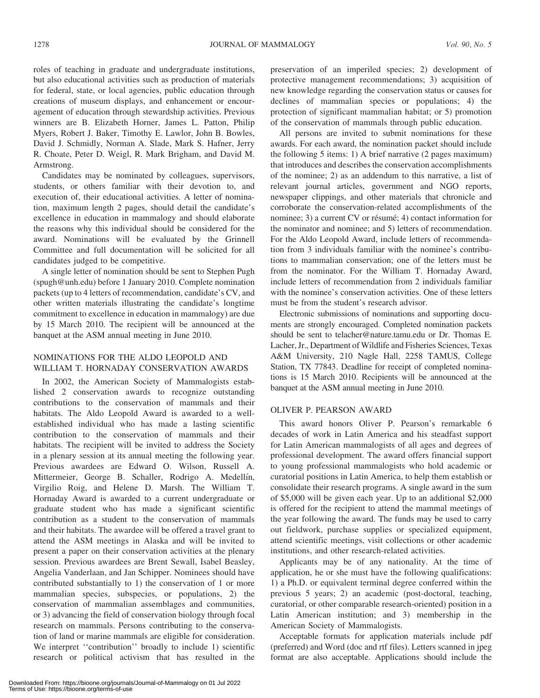roles of teaching in graduate and undergraduate institutions, but also educational activities such as production of materials for federal, state, or local agencies, public education through creations of museum displays, and enhancement or encouragement of education through stewardship activities. Previous winners are B. Elizabeth Horner, James L. Patton, Philip Myers, Robert J. Baker, Timothy E. Lawlor, John B. Bowles, David J. Schmidly, Norman A. Slade, Mark S. Hafner, Jerry R. Choate, Peter D. Weigl, R. Mark Brigham, and David M. Armstrong.

Candidates may be nominated by colleagues, supervisors, students, or others familiar with their devotion to, and execution of, their educational activities. A letter of nomination, maximum length 2 pages, should detail the candidate's excellence in education in mammalogy and should elaborate the reasons why this individual should be considered for the award. Nominations will be evaluated by the Grinnell Committee and full documentation will be solicited for all candidates judged to be competitive.

A single letter of nomination should be sent to Stephen Pugh (spugh@unh.edu) before 1 January 2010. Complete nomination packets (up to 4 letters of recommendation, candidate's CV, and other written materials illustrating the candidate's longtime commitment to excellence in education in mammalogy) are due by 15 March 2010. The recipient will be announced at the banquet at the ASM annual meeting in June 2010.

## NOMINATIONS FOR THE ALDO LEOPOLD AND WILLIAM T. HORNADAY CONSERVATION AWARDS

In 2002, the American Society of Mammalogists established 2 conservation awards to recognize outstanding contributions to the conservation of mammals and their habitats. The Aldo Leopold Award is awarded to a wellestablished individual who has made a lasting scientific contribution to the conservation of mammals and their habitats. The recipient will be invited to address the Society in a plenary session at its annual meeting the following year. Previous awardees are Edward O. Wilson, Russell A. Mittermeier, George B. Schaller, Rodrigo A. Medellín, Virgilio Roig, and Helene D. Marsh. The William T. Hornaday Award is awarded to a current undergraduate or graduate student who has made a significant scientific contribution as a student to the conservation of mammals and their habitats. The awardee will be offered a travel grant to attend the ASM meetings in Alaska and will be invited to present a paper on their conservation activities at the plenary session. Previous awardees are Brent Sewall, Isabel Beasley, Angelia Vanderlaan, and Jan Schipper. Nominees should have contributed substantially to 1) the conservation of 1 or more mammalian species, subspecies, or populations, 2) the conservation of mammalian assemblages and communities, or 3) advancing the field of conservation biology through focal research on mammals. Persons contributing to the conservation of land or marine mammals are eligible for consideration. We interpret "contribution" broadly to include 1) scientific research or political activism that has resulted in the preservation of an imperiled species; 2) development of protective management recommendations; 3) acquisition of new knowledge regarding the conservation status or causes for declines of mammalian species or populations; 4) the protection of significant mammalian habitat; or 5) promotion of the conservation of mammals through public education.

All persons are invited to submit nominations for these awards. For each award, the nomination packet should include the following 5 items: 1) A brief narrative (2 pages maximum) that introduces and describes the conservation accomplishments of the nominee; 2) as an addendum to this narrative, a list of relevant journal articles, government and NGO reports, newspaper clippings, and other materials that chronicle and corroborate the conservation-related accomplishments of the nominee; 3) a current  $CV$  or résumé; 4) contact information for the nominator and nominee; and 5) letters of recommendation. For the Aldo Leopold Award, include letters of recommendation from 3 individuals familiar with the nominee's contributions to mammalian conservation; one of the letters must be from the nominator. For the William T. Hornaday Award, include letters of recommendation from 2 individuals familiar with the nominee's conservation activities. One of these letters must be from the student's research advisor.

Electronic submissions of nominations and supporting documents are strongly encouraged. Completed nomination packets should be sent to telacher@nature.tamu.edu or Dr. Thomas E. Lacher, Jr., Department of Wildlife and Fisheries Sciences, Texas A&M University, 210 Nagle Hall, 2258 TAMUS, College Station, TX 77843. Deadline for receipt of completed nominations is 15 March 2010. Recipients will be announced at the banquet at the ASM annual meeting in June 2010.

#### OLIVER P. PEARSON AWARD

This award honors Oliver P. Pearson's remarkable 6 decades of work in Latin America and his steadfast support for Latin American mammalogists of all ages and degrees of professional development. The award offers financial support to young professional mammalogists who hold academic or curatorial positions in Latin America, to help them establish or consolidate their research programs. A single award in the sum of \$5,000 will be given each year. Up to an additional \$2,000 is offered for the recipient to attend the mammal meetings of the year following the award. The funds may be used to carry out fieldwork, purchase supplies or specialized equipment, attend scientific meetings, visit collections or other academic institutions, and other research-related activities.

Applicants may be of any nationality. At the time of application, he or she must have the following qualifications: 1) a Ph.D. or equivalent terminal degree conferred within the previous 5 years; 2) an academic (post-doctoral, teaching, curatorial, or other comparable research-oriented) position in a Latin American institution; and 3) membership in the American Society of Mammalogists.

Acceptable formats for application materials include pdf (preferred) and Word (doc and rtf files). Letters scanned in jpeg format are also acceptable. Applications should include the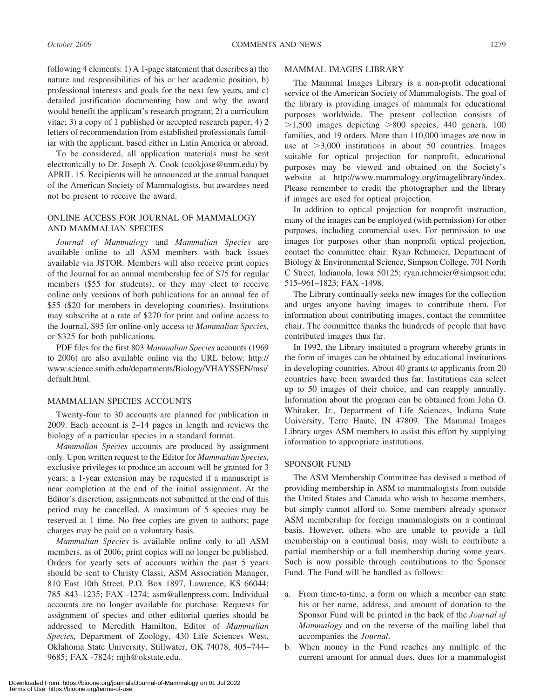following 4 elements: 1) A 1-page statement that describes a) the nature and responsibilities of his or her academic position, b) professional interests and goals for the next few years, and c) detailed justification documenting how and why the award would benefit the applicant's research program; 2) a curriculum vitae; 3) a copy of 1 published or accepted research paper; 4) 2 letters of recommendation from established professionals familiar with the applicant, based either in Latin America or abroad.

To be considered, all application materials must be sent electronically to Dr. Joseph A. Cook (cookjose@unm.edu) by APRIL 15. Recipients will be announced at the annual banquet of the American Society of Mammalogists, but awardees need not be present to receive the award.

## ONLINE ACCESS FOR JOURNAL OF MAMMALOGY AND MAMMALIAN SPECIES

Journal of Mammalogy and Mammalian Species are available online to all ASM members with back issues available via JSTOR. Members will also receive print copies of the Journal for an annual membership fee of \$75 for regular members (\$55 for students), or they may elect to receive online only versions of both publications for an annual fee of \$55 (\$20 for members in developing countries). Institutions may subscribe at a rate of \$270 for print and online access to the Journal, \$95 for online-only access to Mammalian Species, or \$325 for both publications.

PDF files for the first 803 Mammalian Species accounts (1969 to 2006) are also available online via the URL below: http:// www.science.smith.edu/departments/Biology/VHAYSSEN/msi/ default.html.

#### MAMMALIAN SPECIES ACCOUNTS

Twenty-four to 30 accounts are planned for publication in 2009. Each account is 2–14 pages in length and reviews the biology of a particular species in a standard format.

Mammalian Species accounts are produced by assignment only. Upon written request to the Editor for Mammalian Species, exclusive privileges to produce an account will be granted for 3 years; a 1-year extension may be requested if a manuscript is near completion at the end of the initial assignment. At the Editor's discretion, assignments not submitted at the end of this period may be cancelled. A maximum of 5 species may be reserved at 1 time. No free copies are given to authors; page charges may be paid on a voluntary basis.

Mammalian Species is available online only to all ASM members, as of 2006; print copies will no longer be published. Orders for yearly sets of accounts within the past 5 years should be sent to Christy Classi, ASM Association Manager, 810 East 10th Street, P.O. Box 1897, Lawrence, KS 66044; 785–843–1235; FAX -1274; asm@allenpress.com. Individual accounts are no longer available for purchase. Requests for assignment of species and other editorial queries should be addressed to Meredith Hamilton, Editor of Mammalian Species, Department of Zoology, 430 Life Sciences West, Oklahoma State University, Stillwater, OK 74078, 405–744– 9685; FAX -7824; mjh@okstate.edu.

#### MAMMAL IMAGES LIBRARY

The Mammal Images Library is a non-profit educational service of the American Society of Mammalogists. The goal of the library is providing images of mammals for educational purposes worldwide. The present collection consists of  $>1,500$  images depicting  $>800$  species, 440 genera, 100 families, and 19 orders. More than 110,000 images are now in use at  $>3,000$  institutions in about 50 countries. Images suitable for optical projection for nonprofit, educational purposes may be viewed and obtained on the Society's website at http://www.mammalogy.org/imagelibrary/index. Please remember to credit the photographer and the library if images are used for optical projection.

In addition to optical projection for nonprofit instruction, many of the images can be employed (with permission) for other purposes, including commercial uses. For permission to use images for purposes other than nonprofit optical projection, contact the committee chair: Ryan Rehmeier, Department of Biology & Environmental Science, Simpson College, 701 North C Street, Indianola, Iowa 50125; ryan.rehmeier@simpson.edu; 515–961–1823; FAX -1498.

The Library continually seeks new images for the collection and urges anyone having images to contribute them. For information about contributing images, contact the committee chair. The committee thanks the hundreds of people that have contributed images thus far.

In 1992, the Library instituted a program whereby grants in the form of images can be obtained by educational institutions in developing countries. About 40 grants to applicants from 20 countries have been awarded thus far. Institutions can select up to 50 images of their choice, and can reapply annually. Information about the program can be obtained from John O. Whitaker, Jr., Department of Life Sciences, Indiana State University, Terre Haute, IN 47809. The Mammal Images Library urges ASM members to assist this effort by supplying information to appropriate institutions.

#### SPONSOR FUND

The ASM Membership Committee has devised a method of providing membership in ASM to mammalogists from outside the United States and Canada who wish to become members, but simply cannot afford to. Some members already sponsor ASM membership for foreign mammalogists on a continual basis. However, others who are unable to provide a full membership on a continual basis, may wish to contribute a partial membership or a full membership during some years. Such is now possible through contributions to the Sponsor Fund. The Fund will be handled as follows:

- a. From time-to-time, a form on which a member can state his or her name, address, and amount of donation to the Sponsor Fund will be printed in the back of the Journal of Mammalogy and on the reverse of the mailing label that accompanies the Journal.
- b. When money in the Fund reaches any multiple of the current amount for annual dues, dues for a mammalogist